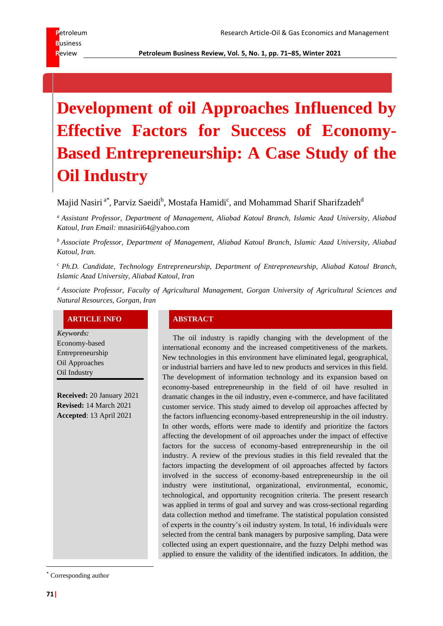**R**eview **Petroleum Business Review, Vol. 5, No. 1, pp. 71–85, Winter 2021**

# **Development of oil Approaches Influenced by Effective Factors for Success of Economy-Based Entrepreneurship: A Case Study of the Oil Industry**

Majid Nasiri <sup>a\*</sup>, Parviz Saeidi<sup>b</sup>, Mostafa Hamidi<sup>c</sup>, and Mohammad Sharif Sharifzadeh<sup>d</sup>

*<sup>a</sup> Assistant Professor, Department of Management, Aliabad Katoul Branch, Islamic Azad University, Aliabad Katoul, Iran Email:* mnasirii64@yahoo.com

*<sup>b</sup> Associate Professor, Department of Management, Aliabad Katoul Branch, Islamic Azad University, Aliabad Katoul, Iran.*

<sup>c</sup> *Ph.D. Candidate, Technology Entrepreneurship, Department of Entrepreneurship, Aliabad Katoul Branch, Islamic Azad University, Aliabad Katoul, Iran* 

*<sup>d</sup> Associate Professor, Faculty of Agricultural Management, Gorgan University of Agricultural Sciences and Natural Resources, Gorgan, Iran*

# **ARTICLE INFO ABSTRACT**

*Keywords:* Economy-based Entrepreneurship Oil Approaches Oil Industry

**Received:** 20 January 2021 **Revised:** 14 March 2021 **Accepted**: 13 April 2021

The oil industry is rapidly changing with the development of the international economy and the increased competitiveness of the markets. New technologies in this environment have eliminated legal, geographical, or industrial barriers and have led to new products and services in this field. The development of information technology and its expansion based on economy-based entrepreneurship in the field of oil have resulted in dramatic changes in the oil industry, even e-commerce, and have facilitated customer service. This study aimed to develop oil approaches affected by the factors influencing economy-based entrepreneurship in the oil industry. In other words, efforts were made to identify and prioritize the factors affecting the development of oil approaches under the impact of effective factors for the success of economy-based entrepreneurship in the oil industry. A review of the previous studies in this field revealed that the factors impacting the development of oil approaches affected by factors involved in the success of economy-based entrepreneurship in the oil industry were institutional, organizational, environmental, economic, technological, and opportunity recognition criteria. The present research was applied in terms of goal and survey and was cross-sectional regarding data collection method and timeframe. The statistical population consisted of experts in the country's oil industry system. In total, 16 individuals were selected from the central bank managers by purposive sampling. Data were collected using an expert questionnaire, and the fuzzy Delphi method was applied to ensure the validity of the identified indicators. In addition, the

\* Corresponding author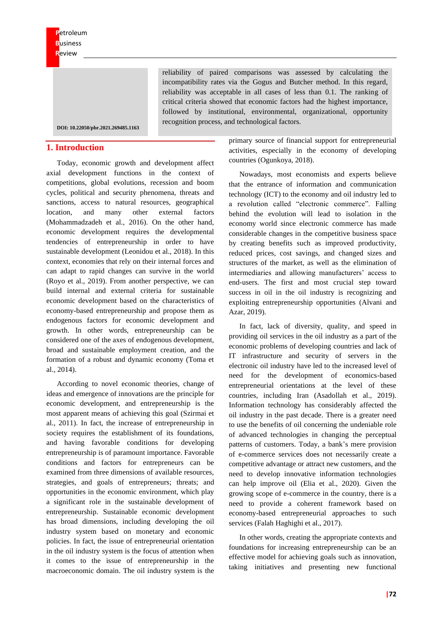reliability of paired comparisons was assessed by calculating the incompatibility rates via the Gogus and Butcher method. In this regard, reliability was acceptable in all cases of less than 0.1. The ranking of critical criteria showed that economic factors had the highest importance, followed by institutional, environmental, organizational, opportunity recognition process, and technological factors.

**DOI[: 10.22050/pbr.2021.269485.1163](https://dx.doi.org/10.22050/pbr.2021.269485.1163)**

# **1. Introduction**

Today, economic growth and development affect axial development functions in the context of competitions, global evolutions, recession and boom cycles, political and security phenomena, threats and sanctions, access to natural resources, geographical location, and many other external factors (Mohammadzadeh et al., 2016). On the other hand, economic development requires the developmental tendencies of entrepreneurship in order to have sustainable development (Leonidou et al., 2018). In this context, economies that rely on their internal forces and can adapt to rapid changes can survive in the world (Royo et al., 2019). From another perspective, we can build internal and external criteria for sustainable economic development based on the characteristics of economy-based entrepreneurship and propose them as endogenous factors for economic development and growth. In other words, entrepreneurship can be considered one of the axes of endogenous development, broad and sustainable employment creation, and the formation of a robust and dynamic economy (Toma et al., 2014).

According to novel economic theories, change of ideas and emergence of innovations are the principle for economic development, and entrepreneurship is the most apparent means of achieving this goal (Szirmai et al., 2011). In fact, the increase of entrepreneurship in society requires the establishment of its foundations, and having favorable conditions for developing entrepreneurship is of paramount importance. Favorable conditions and factors for entrepreneurs can be examined from three dimensions of available resources, strategies, and goals of entrepreneurs; threats; and opportunities in the economic environment, which play a significant role in the sustainable development of entrepreneurship. Sustainable economic development has broad dimensions, including developing the oil industry system based on monetary and economic policies. In fact, the issue of entrepreneurial orientation in the oil industry system is the focus of attention when it comes to the issue of entrepreneurship in the macroeconomic domain. The oil industry system is the

primary source of financial support for entrepreneurial activities, especially in the economy of developing countries (Ogunkoya, 2018).

Nowadays, most economists and experts believe that the entrance of information and communication technology (ICT) to the economy and oil industry led to a revolution called "electronic commerce". Falling behind the evolution will lead to isolation in the economy world since electronic commerce has made considerable changes in the competitive business space by creating benefits such as improved productivity, reduced prices, cost savings, and changed sizes and structures of the market, as well as the elimination of intermediaries and allowing manufacturers' access to end-users. The first and most crucial step toward success in oil in the oil industry is recognizing and exploiting entrepreneurship opportunities (Alvani and Azar, 2019).

In fact, lack of diversity, quality, and speed in providing oil services in the oil industry as a part of the economic problems of developing countries and lack of IT infrastructure and security of servers in the electronic oil industry have led to the increased level of need for the development of economics-based entrepreneurial orientations at the level of these countries, including Iran (Asadollah et al., 2019). Information technology has considerably affected the oil industry in the past decade. There is a greater need to use the benefits of oil concerning the undeniable role of advanced technologies in changing the perceptual patterns of customers. Today, a bank's mere provision of e-commerce services does not necessarily create a competitive advantage or attract new customers, and the need to develop innovative information technologies can help improve oil (Elia et al., 2020). Given the growing scope of e-commerce in the country, there is a need to provide a coherent framework based on economy-based entrepreneurial approaches to such services (Falah Haghighi et al., 2017).

In other words, creating the appropriate contexts and foundations for increasing entrepreneurship can be an effective model for achieving goals such as innovation, taking initiatives and presenting new functional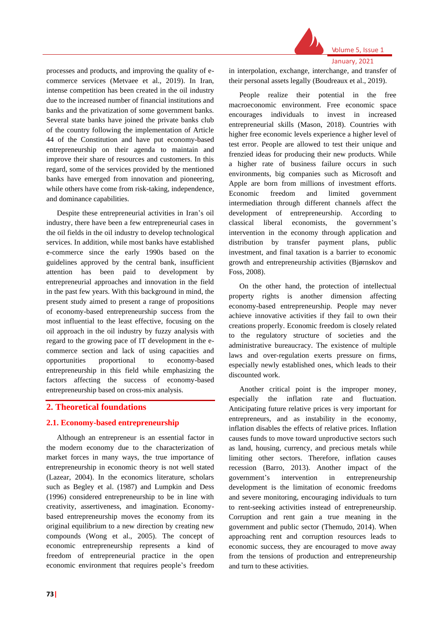

processes and products, and improving the quality of ecommerce services (Metvaee et al., 2019). In Iran, intense competition has been created in the oil industry due to the increased number of financial institutions and banks and the privatization of some government banks. Several state banks have joined the private banks club of the country following the implementation of Article 44 of the Constitution and have put economy-based entrepreneurship on their agenda to maintain and improve their share of resources and customers. In this regard, some of the services provided by the mentioned banks have emerged from innovation and pioneering, while others have come from risk-taking, independence, and dominance capabilities.

Despite these entrepreneurial activities in Iran's oil industry, there have been a few entrepreneurial cases in the oil fields in the oil industry to develop technological services. In addition, while most banks have established e-commerce since the early 1990s based on the guidelines approved by the central bank, insufficient attention has been paid to development by entrepreneurial approaches and innovation in the field in the past few years. With this background in mind, the present study aimed to present a range of propositions of economy-based entrepreneurship success from the most influential to the least effective, focusing on the oil approach in the oil industry by fuzzy analysis with regard to the growing pace of IT development in the ecommerce section and lack of using capacities and opportunities proportional to economy-based entrepreneurship in this field while emphasizing the factors affecting the success of economy-based entrepreneurship based on cross-mix analysis.

# **2. Theoretical foundations**

# **2.1. Economy-based entrepreneurship**

Although an entrepreneur is an essential factor in the modern economy due to the characterization of market forces in many ways, the true importance of entrepreneurship in economic theory is not well stated (Lazear, 2004). In the economics literature, scholars such as Begley et al. (1987) and Lumpkin and Dess (1996) considered entrepreneurship to be in line with creativity, assertiveness, and imagination. Economybased entrepreneurship moves the economy from its original equilibrium to a new direction by creating new compounds (Wong et al., 2005). The concept of economic entrepreneurship represents a kind of freedom of entrepreneurial practice in the open economic environment that requires people's freedom

in interpolation, exchange, interchange, and transfer of their personal assets legally (Boudreaux et al., 2019).

Volume 5, Issue 1 January, 2021

People realize their potential in the free macroeconomic environment. Free economic space encourages individuals to invest in increased entrepreneurial skills (Mason, 2018). Countries with higher free economic levels experience a higher level of test error. People are allowed to test their unique and frenzied ideas for producing their new products. While a higher rate of business failure occurs in such environments, big companies such as Microsoft and Apple are born from millions of investment efforts. Economic freedom and limited government intermediation through different channels affect the development of entrepreneurship. According to classical liberal economists, the government's intervention in the economy through application and distribution by transfer payment plans, public investment, and final taxation is a barrier to economic growth and entrepreneurship activities (Bjørnskov and Foss, 2008).

On the other hand, the protection of intellectual property rights is another dimension affecting economy-based entrepreneurship. People may never achieve innovative activities if they fail to own their creations properly. Economic freedom is closely related to the regulatory structure of societies and the administrative bureaucracy. The existence of multiple laws and over-regulation exerts pressure on firms, especially newly established ones, which leads to their discounted work.

Another critical point is the improper money, especially the inflation rate and fluctuation. Anticipating future relative prices is very important for entrepreneurs, and as instability in the economy, inflation disables the effects of relative prices. Inflation causes funds to move toward unproductive sectors such as land, housing, currency, and precious metals while limiting other sectors. Therefore, inflation causes recession (Barro, 2013). Another impact of the government's intervention in entrepreneurship development is the limitation of economic freedoms and severe monitoring, encouraging individuals to turn to rent-seeking activities instead of entrepreneurship. Corruption and rent gain a true meaning in the government and public sector (Themudo, 2014). When approaching rent and corruption resources leads to economic success, they are encouraged to move away from the tensions of production and entrepreneurship and turn to these activities.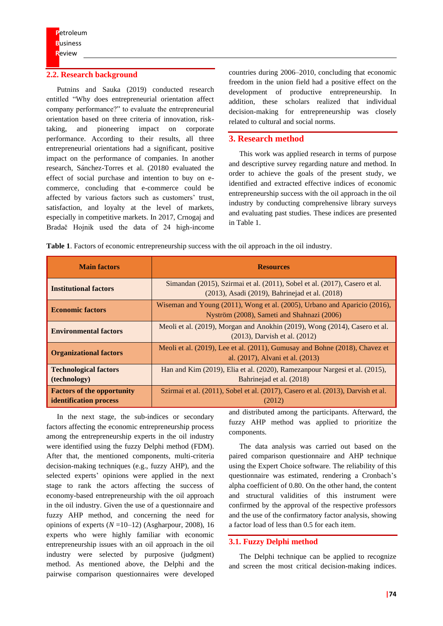### **2.2. Research background**

Putnins and Sauka (2019) conducted research entitled "Why does entrepreneurial orientation affect company performance?" to evaluate the entrepreneurial orientation based on three criteria of innovation, risktaking, and pioneering impact on corporate performance. According to their results, all three entrepreneurial orientations had a significant, positive impact on the performance of companies. In another research, Sánchez-Torres et al. (20180 evaluated the effect of social purchase and intention to buy on ecommerce, concluding that e-commerce could be affected by various factors such as customers' trust, satisfaction, and loyalty at the level of markets, especially in competitive markets. In 2017, Crnogaj and Bradač Hojnik used the data of 24 high-income

countries during 2006–2010, concluding that economic freedom in the union field had a positive effect on the development of productive entrepreneurship. In addition, these scholars realized that individual decision-making for entrepreneurship was closely related to cultural and social norms.

# **3. Research method**

This work was applied research in terms of purpose and descriptive survey regarding nature and method. In order to achieve the goals of the present study, we identified and extracted effective indices of economic entrepreneurship success with the oil approach in the oil industry by conducting comprehensive library surveys and evaluating past studies. These indices are presented in Table 1.

**Table 1**. Factors of economic entrepreneurship success with the oil approach in the oil industry.

| <b>Main factors</b>                                                                                                                              | <b>Resources</b>                                                                                                             |  |
|--------------------------------------------------------------------------------------------------------------------------------------------------|------------------------------------------------------------------------------------------------------------------------------|--|
| <b>Institutional factors</b>                                                                                                                     | Simandan (2015), Szirmai et al. (2011), Sobel et al. (2017), Casero et al.<br>(2013), Asadi (2019), Bahrinejad et al. (2018) |  |
| <b>Economic factors</b>                                                                                                                          | Wiseman and Young (2011), Wong et al. (2005), Urbano and Aparicio (2016),<br>Nyström (2008), Sameti and Shahnazi (2006)      |  |
| <b>Environmental factors</b>                                                                                                                     | Meoli et al. (2019), Morgan and Anokhin (2019), Wong (2014), Casero et al.<br>$(2013)$ , Darvish et al. $(2012)$             |  |
| Meoli et al. (2019), Lee et al. (2011), Gumusay and Bohne (2018), Chavez et<br><b>Organizational factors</b><br>al. (2017), Alvani et al. (2013) |                                                                                                                              |  |
| <b>Technological factors</b><br>(technology)                                                                                                     | Han and Kim (2019), Elia et al. (2020), Ramezanpour Nargesi et al. (2015),<br>Bahrinejad et al. (2018)                       |  |
| <b>Factors of the opportunity</b><br><b>identification</b> process                                                                               | Szirmai et al. (2011), Sobel et al. (2017), Casero et al. (2013), Darvish et al.<br>(2012)                                   |  |

In the next stage, the sub-indices or secondary factors affecting the economic entrepreneurship process among the entrepreneurship experts in the oil industry were identified using the fuzzy Delphi method (FDM). After that, the mentioned components, multi-criteria decision-making techniques (e.g., fuzzy AHP), and the selected experts' opinions were applied in the next stage to rank the actors affecting the success of economy-based entrepreneurship with the oil approach in the oil industry. Given the use of a questionnaire and fuzzy AHP method, and concerning the need for opinions of experts  $(N=10-12)$  (Asgharpour, 2008), 16 experts who were highly familiar with economic entrepreneurship issues with an oil approach in the oil industry were selected by purposive (judgment) method. As mentioned above, the Delphi and the pairwise comparison questionnaires were developed

and distributed among the participants. Afterward, the fuzzy AHP method was applied to prioritize the components.

The data analysis was carried out based on the paired comparison questionnaire and AHP technique using the Expert Choice software. The reliability of this questionnaire was estimated, rendering a Cronbach's alpha coefficient of 0.80. On the other hand, the content and structural validities of this instrument were confirmed by the approval of the respective professors and the use of the confirmatory factor analysis, showing a factor load of less than 0.5 for each item.

#### **3.1. Fuzzy Delphi method**

The Delphi technique can be applied to recognize and screen the most critical decision-making indices.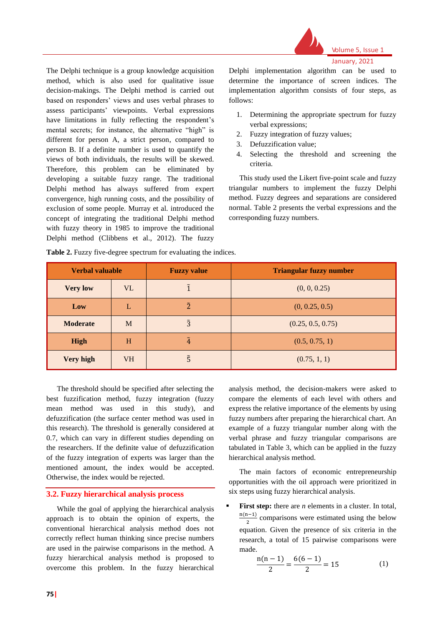

Volume 5, Issue 1 January, 2021

The Delphi technique is a group knowledge acquisition method, which is also used for qualitative issue decision-makings. The Delphi method is carried out based on responders' views and uses verbal phrases to assess participants' viewpoints. Verbal expressions have limitations in fully reflecting the respondent's mental secrets; for instance, the alternative "high" is different for person A, a strict person, compared to person B. If a definite number is used to quantify the views of both individuals, the results will be skewed. Therefore, this problem can be eliminated by developing a suitable fuzzy range. The traditional Delphi method has always suffered from expert convergence, high running costs, and the possibility of exclusion of some people. Murray et al. introduced the concept of integrating the traditional Delphi method with fuzzy theory in 1985 to improve the traditional Delphi method (Clibbens et al., 2012). The fuzzy

Delphi implementation algorithm can be used to determine the importance of screen indices. The implementation algorithm consists of four steps, as follows:

- 1. Determining the appropriate spectrum for fuzzy verbal expressions;
- 2. Fuzzy integration of fuzzy values;
- 3. Defuzzification value;
- 4. Selecting the threshold and screening the criteria.

This study used the Likert five-point scale and fuzzy triangular numbers to implement the fuzzy Delphi method. Fuzzy degrees and separations are considered normal. Table 2 presents the verbal expressions and the corresponding fuzzy numbers.

| <b>Verbal valuable</b> |           | <b>Fuzzy value</b> | <b>Triangular fuzzy number</b> |  |
|------------------------|-----------|--------------------|--------------------------------|--|
| <b>Very low</b>        | <b>VL</b> |                    | (0, 0, 0.25)                   |  |
| Low                    |           | $\tilde{2}$        | (0, 0.25, 0.5)                 |  |
| <b>Moderate</b>        | M         | $\tilde{3}$        | (0.25, 0.5, 0.75)              |  |
| <b>High</b>            | H         | Ã.                 | (0.5, 0.75, 1)                 |  |
| Very high              | <b>VH</b> | $\tilde{5}$        | (0.75, 1, 1)                   |  |

Table 2. Fuzzy five-degree spectrum for evaluating the indices.

The threshold should be specified after selecting the best fuzzification method, fuzzy integration (fuzzy mean method was used in this study), and defuzzification (the surface center method was used in this research). The threshold is generally considered at 0.7, which can vary in different studies depending on the researchers. If the definite value of defuzzification of the fuzzy integration of experts was larger than the mentioned amount, the index would be accepted. Otherwise, the index would be rejected.

#### **3.2. Fuzzy hierarchical analysis process**

While the goal of applying the hierarchical analysis approach is to obtain the opinion of experts, the conventional hierarchical analysis method does not correctly reflect human thinking since precise numbers are used in the pairwise comparisons in the method. A fuzzy hierarchical analysis method is proposed to overcome this problem. In the fuzzy hierarchical

analysis method, the decision-makers were asked to compare the elements of each level with others and express the relative importance of the elements by using fuzzy numbers after preparing the hierarchical chart. An example of a fuzzy triangular number along with the verbal phrase and fuzzy triangular comparisons are tabulated in Table 3, which can be applied in the fuzzy hierarchical analysis method.

The main factors of economic entrepreneurship opportunities with the oil approach were prioritized in six steps using fuzzy hierarchical analysis.

**First step:** there are *n* elements in a cluster. In total, n(n−1)  $\frac{1}{2}$  comparisons were estimated using the below equation. Given the presence of six criteria in the research, a total of 15 pairwise comparisons were made.

$$
\frac{n(n-1)}{2} = \frac{6(6-1)}{2} = 15
$$
 (1)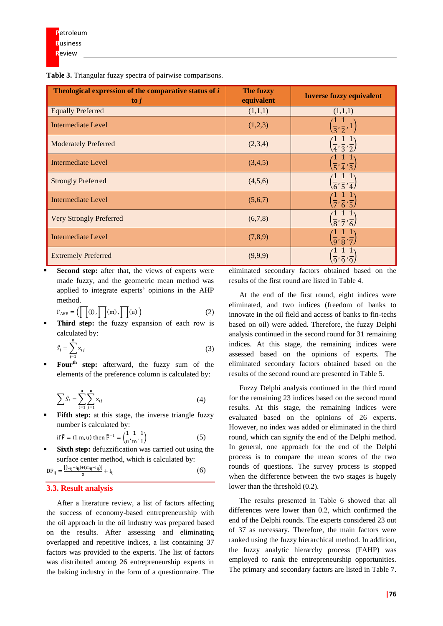**Table 3.** Triangular fuzzy spectra of pairwise comparisons.

| Theological expression of the comparative status of i<br>$\mathbf{to} \mathbf{j}$ | The fuzzy<br>equivalent | <b>Inverse fuzzy equivalent</b>                       |
|-----------------------------------------------------------------------------------|-------------------------|-------------------------------------------------------|
| <b>Equally Preferred</b>                                                          | (1,1,1)                 | (1,1,1)                                               |
| <b>Intermediate Level</b>                                                         | (1,2,3)                 | $\frac{1}{3}, \frac{1}{2}, 1$                         |
| <b>Moderately Preferred</b>                                                       | (2,3,4)                 | $\overline{4}\overline{3}\overline{2}$                |
| <b>Intermediate Level</b>                                                         | (3,4,5)                 | $\overline{5}\overline{7}$ $\overline{4}\overline{3}$ |
| <b>Strongly Preferred</b>                                                         | (4,5,6)                 | $\overline{6}\overline{5}\overline{7}$                |
| Intermediate Level                                                                | (5,6,7)                 | $\overline{7}, \overline{6}, \overline{5}$            |
| <b>Very Strongly Preferred</b>                                                    | (6,7,8)                 | $\left(\frac{1}{8},\frac{1}{7},\frac{1}{6}\right)$    |
| <b>Intermediate Level</b>                                                         | (7,8,9)                 | $\overline{9}\overline{8}\overline{7}$                |
| <b>Extremely Preferred</b>                                                        | (9,9,9)                 | q'q'q                                                 |

**EXECOND SECOND STEP:** after that, the views of experts were made fuzzy, and the geometric mean method was applied to integrate experts' opinions in the AHP method.

$$
F_{AVE} = (\prod(1), \prod(m), \prod(u))
$$
 (2)

Third step: the fuzzy expansion of each row is calculated by:

$$
\tilde{S}_i = \sum_{j=1}^n x_{ij} \tag{3}
$$

▪ **Fourth step:** afterward, the fuzzy sum of the elements of the preference column is calculated by:

$$
\sum \tilde{S}_i = \sum_{i=1}^{n} \sum_{j=1}^{n} x_{ij}
$$
 (4)

**Fifth step:** at this stage, the inverse triangle fuzzy number is calculated by:

if  $\tilde{\mathrm{F}} = (\mathrm{l}, \mathrm{m}, \mathrm{u})$  then  $\tilde{\mathrm{F}}^{-1} = \left( \frac{1}{\sqrt{1 - \mathrm{m}}}\right)$  $\frac{1}{u}, \frac{1}{m}$  $\frac{1}{m}, \frac{1}{l}$ l ) (5)

Sixth step: defuzzification was carried out using the surface center method, which is calculated by:

$$
DF_{ij} = \frac{[(u_{ij} - l_{ij}) + (m_{ij} - l_{ij})]}{3} + l_{ij}
$$
(6)

# **3.3. Result analysis**

After a literature review, a list of factors affecting the success of economy-based entrepreneurship with the oil approach in the oil industry was prepared based on the results. After assessing and eliminating overlapped and repetitive indices, a list containing 37 factors was provided to the experts. The list of factors was distributed among 26 entrepreneurship experts in the baking industry in the form of a questionnaire. The eliminated secondary factors obtained based on the results of the first round are listed in Table 4.

At the end of the first round, eight indices were eliminated, and two indices (freedom of banks to innovate in the oil field and access of banks to fin-techs based on oil) were added. Therefore, the fuzzy Delphi analysis continued in the second round for 31 remaining indices. At this stage, the remaining indices were assessed based on the opinions of experts. The eliminated secondary factors obtained based on the results of the second round are presented in Table 5.

Fuzzy Delphi analysis continued in the third round for the remaining 23 indices based on the second round results. At this stage, the remaining indices were evaluated based on the opinions of 26 experts. However, no index was added or eliminated in the third round, which can signify the end of the Delphi method. In general, one approach for the end of the Delphi process is to compare the mean scores of the two rounds of questions. The survey process is stopped when the difference between the two stages is hugely lower than the threshold (0.2).

The results presented in Table 6 showed that all differences were lower than 0.2, which confirmed the end of the Delphi rounds. The experts considered 23 out of 37 as necessary. Therefore, the main factors were ranked using the fuzzy hierarchical method. In addition, the fuzzy analytic hierarchy process (FAHP) was employed to rank the entrepreneurship opportunities. The primary and secondary factors are listed in Table 7.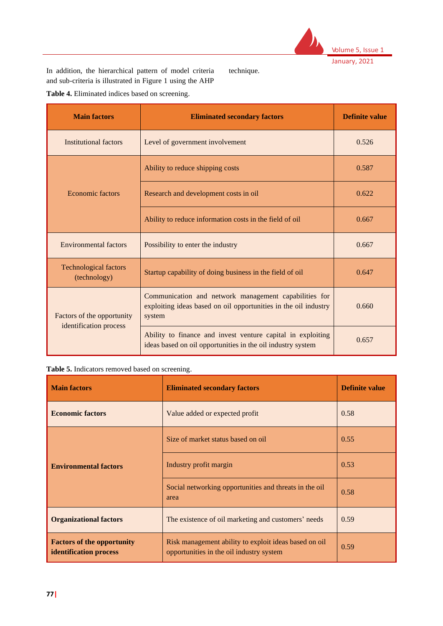

In addition, the hierarchical pattern of model criteria and sub-criteria is illustrated in Figure 1 using the AHP

technique.

**Table 4.** Eliminated indices based on screening.

| <b>Main factors</b>                                  | <b>Eliminated secondary factors</b>                                                                                                | <b>Definite value</b> |
|------------------------------------------------------|------------------------------------------------------------------------------------------------------------------------------------|-----------------------|
| <b>Institutional factors</b>                         | Level of government involvement                                                                                                    | 0.526                 |
|                                                      | Ability to reduce shipping costs                                                                                                   | 0.587                 |
| <b>Economic factors</b>                              | Research and development costs in oil                                                                                              | 0.622                 |
|                                                      | Ability to reduce information costs in the field of oil                                                                            | 0.667                 |
| <b>Environmental factors</b>                         | Possibility to enter the industry                                                                                                  | 0.667                 |
| <b>Technological factors</b><br>(technology)         | Startup capability of doing business in the field of oil                                                                           | 0.647                 |
| Factors of the opportunity<br>identification process | Communication and network management capabilities for<br>exploiting ideas based on oil opportunities in the oil industry<br>system | 0.660                 |
|                                                      | Ability to finance and invest venture capital in exploiting<br>ideas based on oil opportunities in the oil industry system         | 0.657                 |

| Table 5. Indicators removed based on screening. |  |
|-------------------------------------------------|--|
|-------------------------------------------------|--|

| <b>Main factors</b>                                                                  | <b>Eliminated secondary factors</b>                                                               | <b>Definite value</b> |  |
|--------------------------------------------------------------------------------------|---------------------------------------------------------------------------------------------------|-----------------------|--|
| <b>Economic factors</b>                                                              | Value added or expected profit                                                                    | 0.58                  |  |
|                                                                                      | Size of market status based on oil                                                                | 0.55                  |  |
| <b>Environmental factors</b>                                                         | Industry profit margin                                                                            | 0.53                  |  |
|                                                                                      | Social networking opportunities and threats in the oil<br>area                                    | 0.58                  |  |
| <b>Organizational factors</b><br>The existence of oil marketing and customers' needs |                                                                                                   | 0.59                  |  |
| <b>Factors of the opportunity</b><br>identification process                          | Risk management ability to exploit ideas based on oil<br>opportunities in the oil industry system | 0.59                  |  |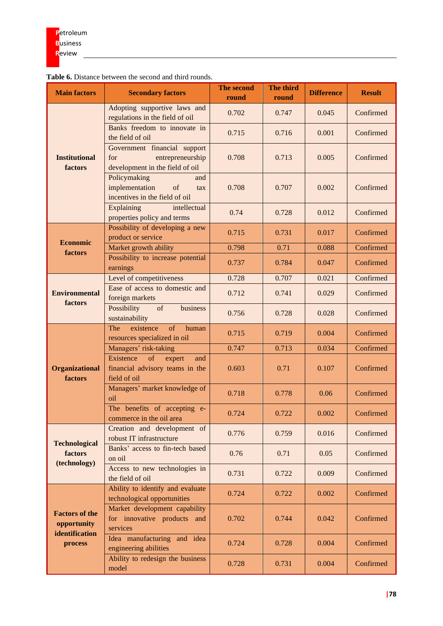| <b>Main factors</b>                  | <b>v.</b> Distance between the second and thing road<br><b>Secondary factors</b>           | The second<br>round | The third<br>round | <b>Difference</b> | <b>Result</b> |
|--------------------------------------|--------------------------------------------------------------------------------------------|---------------------|--------------------|-------------------|---------------|
|                                      | Adopting supportive laws and<br>regulations in the field of oil                            | 0.702               | 0.747              | 0.045             | Confirmed     |
|                                      | Banks freedom to innovate in<br>the field of oil                                           | 0.715               | 0.716              | 0.001             | Confirmed     |
| <b>Institutional</b><br>factors      | Government financial support<br>entrepreneurship<br>for<br>development in the field of oil | 0.708               | 0.713              | 0.005             | Confirmed     |
|                                      | Policymaking<br>and<br>implementation<br>of<br>tax<br>incentives in the field of oil       | 0.708               | 0.707              | 0.002             | Confirmed     |
|                                      | <b>Explaining</b><br>intellectual<br>properties policy and terms                           | 0.74                | 0.728              | 0.012             | Confirmed     |
| <b>Economic</b>                      | Possibility of developing a new<br>product or service                                      | 0.715               | 0.731              | 0.017             | Confirmed     |
| factors                              | Market growth ability                                                                      | 0.798               | 0.71               | 0.088             | Confirmed     |
|                                      | Possibility to increase potential<br>earnings                                              | 0.737               | 0.784              | 0.047             | Confirmed     |
|                                      | Level of competitiveness                                                                   | 0.728               | 0.707              | 0.021             | Confirmed     |
| <b>Environmental</b><br>factors      | Ease of access to domestic and<br>foreign markets                                          | 0.712               | 0.741              | 0.029             | Confirmed     |
|                                      | of<br>Possibility<br>business<br>sustainability                                            | 0.756               | 0.728              | 0.028             | Confirmed     |
|                                      | of<br>The<br>existence<br>human<br>resources specialized in oil                            | 0.715               | 0.719              | 0.004             | Confirmed     |
|                                      | Managers' risk-taking                                                                      | 0.747               | 0.713              | 0.034             | Confirmed     |
| Organizational<br>factors            | Existence<br>of expert<br>and<br>financial advisory teams in the<br>field of oil           | 0.603               | 0.71               | 0.107             | Confirmed     |
|                                      | Managers' market knowledge of<br>oil                                                       | 0.718               | 0.778              | 0.06              | Confirmed     |
|                                      | The benefits of accepting e-<br>commerce in the oil area                                   | 0.724               | 0.722              | 0.002             | Confirmed     |
| <b>Technological</b>                 | Creation and development of<br>robust IT infrastructure                                    | 0.776               | 0.759              | 0.016             | Confirmed     |
| factors<br>(technology)              | Banks' access to fin-tech based<br>on oil                                                  | 0.76                | 0.71               | 0.05              | Confirmed     |
|                                      | Access to new technologies in<br>the field of oil                                          | 0.731               | 0.722              | 0.009             | Confirmed     |
|                                      | Ability to identify and evaluate<br>technological opportunities                            | 0.724               | 0.722              | 0.002             | Confirmed     |
| <b>Factors of the</b><br>opportunity | Market development capability<br>for innovative products and<br>services                   | 0.702               | 0.744              | 0.042             | Confirmed     |
| identification<br>process            | Idea manufacturing and idea<br>engineering abilities                                       | 0.724               | 0.728              | 0.004             | Confirmed     |
|                                      | Ability to redesign the business<br>model                                                  | 0.728               | 0.731              | 0.004             | Confirmed     |

# **Table 6.** Distance between the second and third rounds.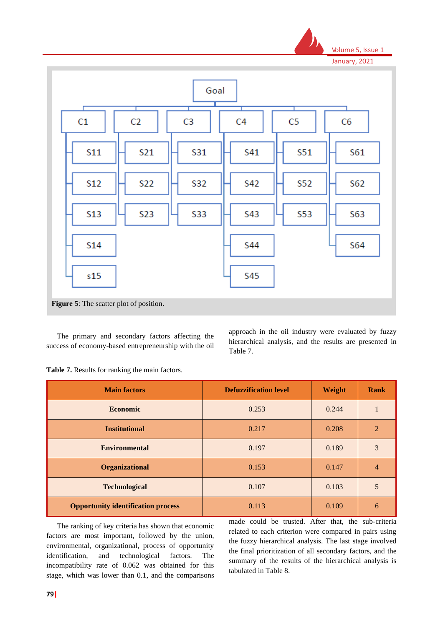



The primary and secondary factors affecting the success of economy-based entrepreneurship with the oil approach in the oil industry were evaluated by fuzzy hierarchical analysis, and the results are presented in Table 7.

**Table 7.** Results for ranking the main factors.

| <b>Main factors</b>                       | <b>Defuzzification level</b> | Weight | Rank           |
|-------------------------------------------|------------------------------|--------|----------------|
| <b>Economic</b>                           | 0.253                        | 0.244  |                |
| <b>Institutional</b>                      | 0.217                        | 0.208  | $\overline{2}$ |
| <b>Environmental</b>                      | 0.197                        | 0.189  | 3              |
| <b>Organizational</b>                     | 0.153                        | 0.147  | $\overline{4}$ |
| <b>Technological</b>                      | 0.107                        | 0.103  | 5              |
| <b>Opportunity identification process</b> | 0.113                        | 0.109  | 6              |

The ranking of key criteria has shown that economic factors are most important, followed by the union, environmental, organizational, process of opportunity identification, and technological factors. The incompatibility rate of 0.062 was obtained for this stage, which was lower than 0.1, and the comparisons made could be trusted. After that, the sub-criteria related to each criterion were compared in pairs using the fuzzy hierarchical analysis. The last stage involved the final prioritization of all secondary factors, and the summary of the results of the hierarchical analysis is tabulated in Table 8.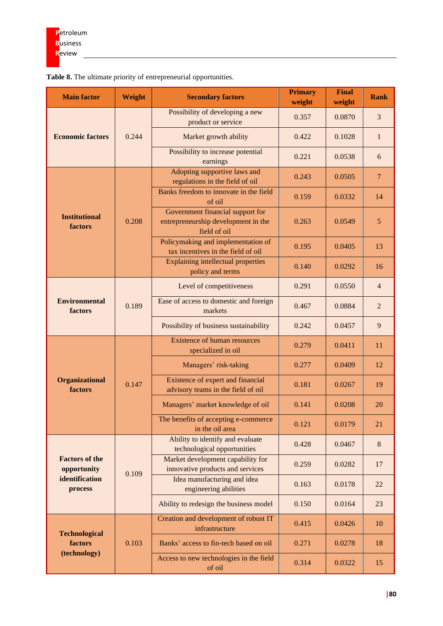| <b>Main factor</b>                     | Weight | <b>Secondary factors</b>                                                                | <b>Primary</b><br>weight | <b>Final</b><br>weight | <b>Rank</b>    |
|----------------------------------------|--------|-----------------------------------------------------------------------------------------|--------------------------|------------------------|----------------|
| <b>Economic factors</b>                | 0.244  | Possibility of developing a new<br>product or service                                   | 0.357                    | 0.0870                 | 3              |
|                                        |        | Market growth ability                                                                   | 0.422                    | 0.1028                 | $\mathbf{1}$   |
|                                        |        | Possibility to increase potential<br>earnings                                           | 0.221                    | 0.0538                 | 6              |
|                                        |        | Adopting supportive laws and<br>regulations in the field of oil                         | 0.243                    | 0.0505                 | $\overline{7}$ |
|                                        |        | Banks freedom to innovate in the field<br>of oil                                        | 0.159                    | 0.0332                 | 14             |
| <b>Institutional</b><br>factors        | 0.208  | Government financial support for<br>entrepreneurship development in the<br>field of oil | 0.263                    | 0.0549                 | 5              |
|                                        |        | Policymaking and implementation of<br>tax incentives in the field of oil                | 0.195                    | 0.0405                 | 13             |
|                                        |        | <b>Explaining intellectual properties</b><br>policy and terms                           | 0.140                    | 0.0292                 | 16             |
|                                        | 0.189  | Level of competitiveness                                                                | 0.291                    | 0.0550                 | $\overline{4}$ |
| <b>Environmental</b><br><b>factors</b> |        | Ease of access to domestic and foreign<br>markets                                       | 0.467                    | 0.0884                 | $\overline{2}$ |
|                                        |        | Possibility of business sustainability                                                  | 0.242                    | 0.0457                 | 9              |
|                                        | 0.147  | <b>Existence of human resources</b><br>specialized in oil                               | 0.279                    | 0.0411                 | 11             |
|                                        |        | Managers' risk-taking                                                                   | 0.277                    | 0.0409                 | 12             |
| <b>Organizational</b><br>factors       |        | Existence of expert and financial<br>advisory teams in the field of oil                 | 0.181                    | 0.0267                 | 19             |
|                                        |        | Managers' market knowledge of oil                                                       | 0.141                    | 0.0208                 | 20             |
|                                        |        | The benefits of accepting e-commerce<br>in the oil area                                 | 0.121                    | 0.0179                 | 21             |
|                                        | 0.109  | Ability to identify and evaluate<br>technological opportunities                         | 0.428                    | 0.0467                 | $\,8\,$        |
| <b>Factors of the</b><br>opportunity   |        | Market development capability for<br>innovative products and services                   | 0.259                    | 0.0282                 | 17             |
| identification<br>process              |        | Idea manufacturing and idea<br>engineering abilities                                    | 0.163                    | 0.0178                 | 22             |
|                                        |        | Ability to redesign the business model                                                  | 0.150                    | 0.0164                 | 23             |
| <b>Technological</b>                   |        | Creation and development of robust IT<br>infrastructure                                 | 0.415                    | 0.0426                 | 10             |
| factors                                | 0.103  | Banks' access to fin-tech based on oil                                                  | 0.271                    | 0.0278                 | 18             |
| (technology)                           |        | Access to new technologies in the field<br>of oil                                       | 0.314                    | 0.0322                 | 15             |

**Table 8.** The ultimate priority of entrepreneurial opportunities.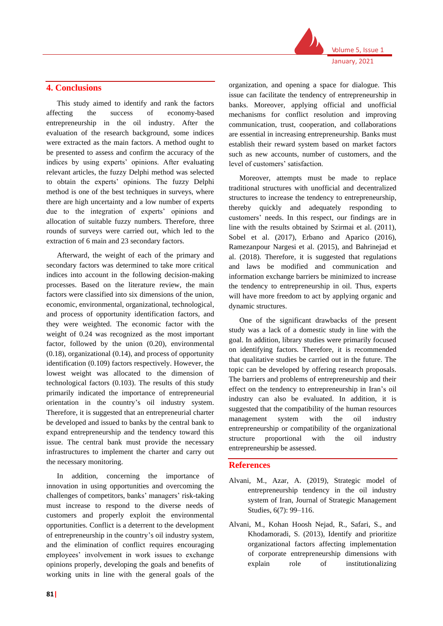

# **4. Conclusions**

This study aimed to identify and rank the factors affecting the success of economy-based entrepreneurship in the oil industry. After the evaluation of the research background, some indices were extracted as the main factors. A method ought to be presented to assess and confirm the accuracy of the indices by using experts' opinions. After evaluating relevant articles, the fuzzy Delphi method was selected to obtain the experts' opinions. The fuzzy Delphi method is one of the best techniques in surveys, where there are high uncertainty and a low number of experts due to the integration of experts' opinions and allocation of suitable fuzzy numbers. Therefore, three rounds of surveys were carried out, which led to the extraction of 6 main and 23 secondary factors.

Afterward, the weight of each of the primary and secondary factors was determined to take more critical indices into account in the following decision-making processes. Based on the literature review, the main factors were classified into six dimensions of the union, economic, environmental, organizational, technological, and process of opportunity identification factors, and they were weighted. The economic factor with the weight of 0.24 was recognized as the most important factor, followed by the union (0.20), environmental (0.18), organizational (0.14), and process of opportunity identification (0.109) factors respectively. However, the lowest weight was allocated to the dimension of technological factors (0.103). The results of this study primarily indicated the importance of entrepreneurial orientation in the country's oil industry system. Therefore, it is suggested that an entrepreneurial charter be developed and issued to banks by the central bank to expand entrepreneurship and the tendency toward this issue. The central bank must provide the necessary infrastructures to implement the charter and carry out the necessary monitoring.

In addition, concerning the importance of innovation in using opportunities and overcoming the challenges of competitors, banks' managers' risk-taking must increase to respond to the diverse needs of customers and properly exploit the environmental opportunities. Conflict is a deterrent to the development of entrepreneurship in the country's oil industry system, and the elimination of conflict requires encouraging employees' involvement in work issues to exchange opinions properly, developing the goals and benefits of working units in line with the general goals of the

organization, and opening a space for dialogue. This issue can facilitate the tendency of entrepreneurship in banks. Moreover, applying official and unofficial mechanisms for conflict resolution and improving communication, trust, cooperation, and collaborations are essential in increasing entrepreneurship. Banks must establish their reward system based on market factors such as new accounts, number of customers, and the level of customers' satisfaction.

Moreover, attempts must be made to replace traditional structures with unofficial and decentralized structures to increase the tendency to entrepreneurship, thereby quickly and adequately responding to customers' needs. In this respect, our findings are in line with the results obtained by Szirmai et al. (2011), Sobel et al. (2017), Erbano and Aparico (2016), Ramezanpour Nargesi et al. (2015), and Bahrinejad et al. (2018). Therefore, it is suggested that regulations and laws be modified and communication and information exchange barriers be minimized to increase the tendency to entrepreneurship in oil. Thus, experts will have more freedom to act by applying organic and dynamic structures.

One of the significant drawbacks of the present study was a lack of a domestic study in line with the goal. In addition, library studies were primarily focused on identifying factors. Therefore, it is recommended that qualitative studies be carried out in the future. The topic can be developed by offering research proposals. The barriers and problems of entrepreneurship and their effect on the tendency to entrepreneurship in Iran's oil industry can also be evaluated. In addition, it is suggested that the compatibility of the human resources management system with the oil industry entrepreneurship or compatibility of the organizational structure proportional with the oil industry entrepreneurship be assessed.

# **References**

- Alvani, M., Azar, A. (2019), Strategic model of entrepreneurship tendency in the oil industry system of Iran, Journal of Strategic Management Studies, 6(7): 99–116.
- Alvani, M., Kohan Hoosh Nejad, R., Safari, S., and Khodamoradi, S. (2013), Identify and prioritize organizational factors affecting implementation of corporate entrepreneurship dimensions with explain role of institutionalizing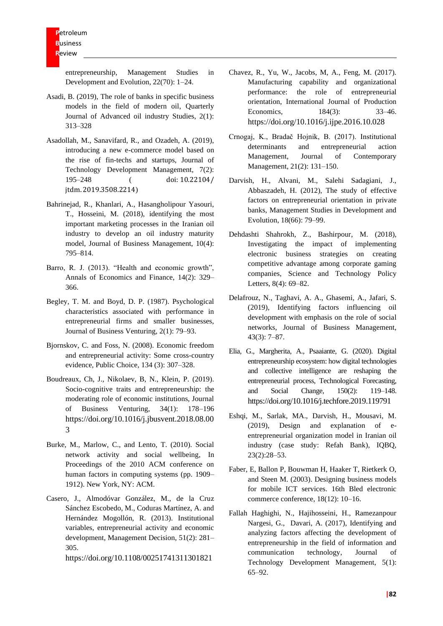entrepreneurship, Management Studies in Development and Evolution, 22(70): 1–24.

- Asadi, B. (2019), The role of banks in specific business models in the field of modern oil, Quarterly Journal of Advanced oil industry Studies, 2(1): 313–328
- Asadollah, M., Sanavifard, R., and Ozadeh, A. (2019), introducing a new e-commerce model based on the rise of fin-techs and startups, Journal of Technology Development Management, 7(2): 195–248 ( doi: 10.22104/ jtdm. 2019.3508.2214)
- Bahrinejad, R., Khanlari, A., Hasangholipour Yasouri, T., Hosseini, M. (2018), identifying the most important marketing processes in the Iranian oil industry to develop an oil industry maturity model, Journal of Business Management, 10(4): 795–814.
- Barro, R. J. (2013). "Health and economic growth", Annals of Economics and Finance, 14(2): 329– 366.
- Begley, T. M. and Boyd, D. P. (1987). Psychological characteristics associated with performance in entrepreneurial firms and smaller businesses, Journal of Business Venturing, 2(1): 79–93.
- Bjornskov, C. and Foss, N. (2008). Economic freedom and entrepreneurial activity: Some cross-country evidence, Public Choice, 134 (3): 307–328.
- Boudreaux, Ch, J., Nikolaev, B, N., Klein, P. (2019). Socio-cognitive traits and entrepreneurship: the moderating role of economic institutions, Journal of Business Venturing, 34(1): 178–196 [https://doi.org/10.1016/j.jbusvent.2018.08.00](https://doi.org/10.1016/j.jbusvent.2018.08.003) [3](https://doi.org/10.1016/j.jbusvent.2018.08.003)
- Burke, M., Marlow, C., and Lento, T. (2010). Social network activity and social wellbeing, In Proceedings of the 2010 ACM conference on human factors in computing systems (pp. 1909– 1912). New York, NY: ACM.
- Casero, J., Almodóvar González, M., de la Cruz Sánchez Escobedo, M., Coduras Martínez, A. and Hernández Mogollón, R. (2013). Institutional variables, entrepreneurial activity and economic development, Management Decision, 51(2): 281– 305.

<https://doi.org/10.1108/00251741311301821>

- Chavez, R., Yu, W., Jacobs, M, A., Feng, M. (2017). Manufacturing capability and organizational performance: the role of entrepreneurial orientation, International Journal of Production Economics, 184(3): 33–46. <https://doi.org/10.1016/j.ijpe.2016.10.028>
- Crnogaj, K., Bradač Hojnik, B. (2017). Institutional determinants and entrepreneurial action Management, Journal of Contemporary Management, 21(2): 131–150.
- Darvish, H., Alvani, M., Salehi Sadagiani, J., Abbaszadeh, H. (2012), The study of effective factors on entrepreneurial orientation in private banks, Management Studies in Development and Evolution, 18(66): 79–99.
- Dehdashti Shahrokh, Z., Bashirpour, M. (2018), Investigating the impact of implementing electronic business strategies on creating competitive advantage among corporate gaming companies, Science and Technology Policy Letters, 8(4): 69–82.
- Delafrouz, N., Taghavi, A. A., Ghasemi, A., Jafari, S. (2019), Identifying factors influencing oil development with emphasis on the role of social networks, Journal of Business Management, 43(3): 7–87.
- Elia, G., Margherita, A., Psaaiante, G. (2020). Digital entrepreneurship ecosystem: how digital technologies and collective intelligence are reshaping the entrepreneurial process, Technological Forecasting, and Social Change, 150(2): 119–148. <https://doi.org/10.1016/j.techfore.2019.119791>
- Eshqi, M., Sarlak, MA., Darvish, H., Mousavi, M. (2019), Design and explanation of eentrepreneurial organization model in Iranian oil industry (case study: Refah Bank), IQBQ, 23(2):28–53.
- Faber, E, Ballon P, Bouwman H, Haaker T, Rietkerk O, and Steen M. (2003). Designing business models for mobile ICT services. 16th Bled electronic commerce conference, 18(12): 10-16.
- Fallah Haghighi, N., Hajihosseini, H., Ramezanpour Nargesi, G., Davari, A. (2017), Identifying and analyzing factors affecting the development of entrepreneurship in the field of information and communication technology, Journal of Technology Development Management, 5(1): 65–92.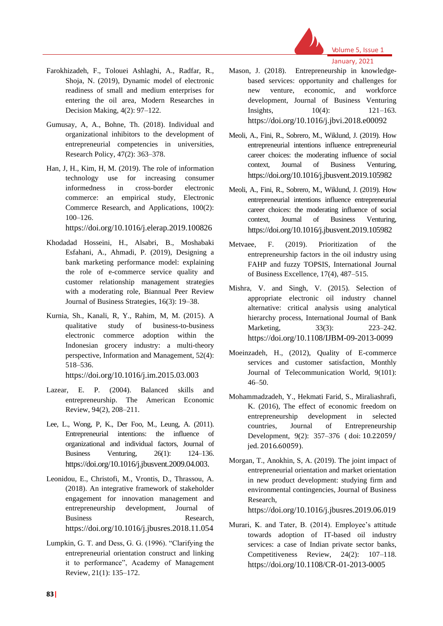

# Volume 5, Issue 1 January, 2021

- Farokhizadeh, F., Tolouei Ashlaghi, A., Radfar, R., Shoja, N. (2019), Dynamic model of electronic readiness of small and medium enterprises for entering the oil area, Modern Researches in Decision Making, 4(2): 97–122.
- Gumusay, A, A., Bohne, Th. (2018). Individual and organizational inhibitors to the development of entrepreneurial competencies in universities, Research Policy, 47(2): 363–378.
- Han, J, H., Kim, H, M. (2019). The role of information technology use for increasing consumer informedness in cross-border electronic commerce: an empirical study, Electronic Commerce Research, and Applications, 100(2): 100–126.

<https://doi.org/10.1016/j.elerap.2019.100826>

- Khodadad Hosseini, H., Alsabri, B., Moshabaki Esfahani, A., Ahmadi, P. (2019), Designing a bank marketing performance model: explaining the role of e-commerce service quality and customer relationship management strategies with a moderating role, Biannual Peer Review Journal of Business Strategies, 16(3): 19–38.
- Kurnia, Sh., Kanali, R, Y., Rahim, M, M. (2015). A qualitative study of business-to-business electronic commerce adoption within the Indonesian grocery industry: a multi-theory perspective, Information and Management, 52(4): 518–536.

<https://doi.org/10.1016/j.im.2015.03.003>

- Lazear, E. P. (2004). Balanced skills and entrepreneurship. The American Economic Review, 94(2), 208–211.
- Lee, L., Wong, P, K., Der Foo, M., Leung, A. (2011). Entrepreneurial intentions: the influence of organizational and individual factors, Journal of Business Venturing, 26(1): 124–136. [https://doi.org/10.1016/j.jbusvent.2009.04.003.](https://doi.org/10.1016/j.jbusvent.2009.04.003)
- Leonidou, E., Christofi, M., Vrontis, D., Thrassou, A. (2018). An integrative framework of stakeholder engagement for innovation management and entrepreneurship development, Journal of Business Research, <https://doi.org/10.1016/j.jbusres.2018.11.054>
- Lumpkin, G. T. and Dess, G. G. (1996). "Clarifying the entrepreneurial orientation construct and linking it to performance", Academy of Management Review, 21(1): 135–172.
- Mason, J. (2018). Entrepreneurship in knowledgebased services: opportunity and challenges for new venture, economic, and workforce development, Journal of Business Venturing Insights, 10(4): 121–163. <https://doi.org/10.1016/j.jbvi.2018.e00092>
- Meoli, A., Fini, R., Sobrero, M., Wiklund, J. (2019). How entrepreneurial intentions influence entrepreneurial career choices: the moderating influence of social context, Journal of Business Venturing, <https://doi.org/10.1016/j.jbusvent.2019.105982>
- Meoli, A., Fini, R., Sobrero, M., Wiklund, J. (2019). How entrepreneurial intentions influence entrepreneurial career choices: the moderating influence of social context, Journal of Business Venturing, <https://doi.org/10.1016/j.jbusvent.2019.105982>
- Metvaee, F. (2019). Prioritization of the entrepreneurship factors in the oil industry using FAHP and fuzzy TOPSIS, International Journal of Business Excellence, 17(4), 487–515.
- Mishra, V. and Singh, V. (2015). Selection of appropriate electronic oil industry channel alternative: critical analysis using analytical hierarchy process, International Journal of Bank Marketing, 33(3): 223–242. <https://doi.org/10.1108/IJBM-09-2013-0099>
- Moeinzadeh, H., (2012), Quality of E-commerce services and customer satisfaction, Monthly Journal of Telecommunication World, 9(101):  $46 - 50$ .
- Mohammadzadeh, Y., Hekmati Farid, S., Miraliashrafi, K. (2016), The effect of economic freedom on entrepreneurship development in selected countries, Journal of Entrepreneurship Development, 9(2): 357–376 ( doi: 10.22059/ jed. 2016.60059).
- Morgan, T., Anokhin, S, A. (2019). The joint impact of entrepreneurial orientation and market orientation in new product development: studying firm and environmental contingencies, Journal of Business Research,

<https://doi.org/10.1016/j.jbusres.2019.06.019>

Murari, K. and Tater, B. (2014). Employee's attitude towards adoption of IT-based oil industry services: a case of Indian private sector banks, Competitiveness Review, 24(2): 107–118. <https://doi.org/10.1108/CR-01-2013-0005>